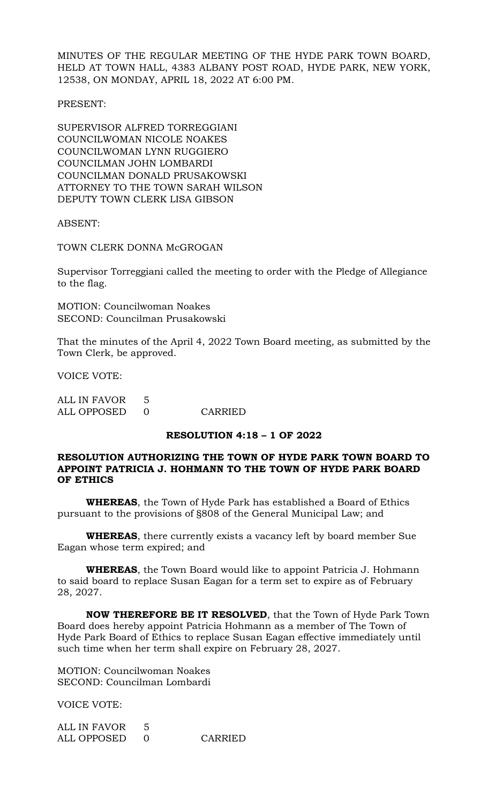MINUTES OF THE REGULAR MEETING OF THE HYDE PARK TOWN BOARD, HELD AT TOWN HALL, 4383 ALBANY POST ROAD, HYDE PARK, NEW YORK, 12538, ON MONDAY, APRIL 18, 2022 AT 6:00 PM.

PRESENT:

SUPERVISOR ALFRED TORREGGIANI COUNCILWOMAN NICOLE NOAKES COUNCILWOMAN LYNN RUGGIERO COUNCILMAN JOHN LOMBARDI COUNCILMAN DONALD PRUSAKOWSKI ATTORNEY TO THE TOWN SARAH WILSON DEPUTY TOWN CLERK LISA GIBSON

ABSENT:

TOWN CLERK DONNA McGROGAN

Supervisor Torreggiani called the meeting to order with the Pledge of Allegiance to the flag.

MOTION: Councilwoman Noakes SECOND: Councilman Prusakowski

That the minutes of the April 4, 2022 Town Board meeting, as submitted by the Town Clerk, be approved.

VOICE VOTE:

| ALL IN FAVOR |         |
|--------------|---------|
| ALL OPPOSED  | CARRIED |

#### **RESOLUTION 4:18 – 1 OF 2022**

# **RESOLUTION AUTHORIZING THE TOWN OF HYDE PARK TOWN BOARD TO APPOINT PATRICIA J. HOHMANN TO THE TOWN OF HYDE PARK BOARD OF ETHICS**

**WHEREAS**, the Town of Hyde Park has established a Board of Ethics pursuant to the provisions of §808 of the General Municipal Law; and

**WHEREAS**, there currently exists a vacancy left by board member Sue Eagan whose term expired; and

**WHEREAS**, the Town Board would like to appoint Patricia J. Hohmann to said board to replace Susan Eagan for a term set to expire as of February 28, 2027.

**NOW THEREFORE BE IT RESOLVED**, that the Town of Hyde Park Town Board does hereby appoint Patricia Hohmann as a member of The Town of Hyde Park Board of Ethics to replace Susan Eagan effective immediately until such time when her term shall expire on February 28, 2027.

MOTION: Councilwoman Noakes SECOND: Councilman Lombardi

VOICE VOTE:

ALL IN FAVOR 5 ALL OPPOSED 0 CARRIED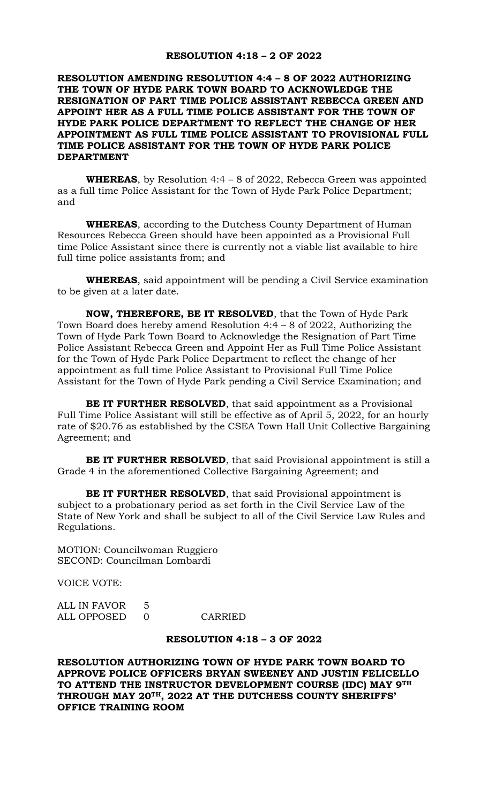### **RESOLUTION 4:18 – 2 OF 2022**

# **RESOLUTION AMENDING RESOLUTION 4:4 – 8 OF 2022 AUTHORIZING THE TOWN OF HYDE PARK TOWN BOARD TO ACKNOWLEDGE THE RESIGNATION OF PART TIME POLICE ASSISTANT REBECCA GREEN AND APPOINT HER AS A FULL TIME POLICE ASSISTANT FOR THE TOWN OF HYDE PARK POLICE DEPARTMENT TO REFLECT THE CHANGE OF HER APPOINTMENT AS FULL TIME POLICE ASSISTANT TO PROVISIONAL FULL TIME POLICE ASSISTANT FOR THE TOWN OF HYDE PARK POLICE DEPARTMENT**

**WHEREAS**, by Resolution 4:4 – 8 of 2022, Rebecca Green was appointed as a full time Police Assistant for the Town of Hyde Park Police Department; and

**WHEREAS**, according to the Dutchess County Department of Human Resources Rebecca Green should have been appointed as a Provisional Full time Police Assistant since there is currently not a viable list available to hire full time police assistants from; and

**WHEREAS**, said appointment will be pending a Civil Service examination to be given at a later date.

**NOW, THEREFORE, BE IT RESOLVED**, that the Town of Hyde Park Town Board does hereby amend Resolution 4:4 – 8 of 2022, Authorizing the Town of Hyde Park Town Board to Acknowledge the Resignation of Part Time Police Assistant Rebecca Green and Appoint Her as Full Time Police Assistant for the Town of Hyde Park Police Department to reflect the change of her appointment as full time Police Assistant to Provisional Full Time Police Assistant for the Town of Hyde Park pending a Civil Service Examination; and

**BE IT FURTHER RESOLVED**, that said appointment as a Provisional Full Time Police Assistant will still be effective as of April 5, 2022, for an hourly rate of \$20.76 as established by the CSEA Town Hall Unit Collective Bargaining Agreement; and

**BE IT FURTHER RESOLVED**, that said Provisional appointment is still a Grade 4 in the aforementioned Collective Bargaining Agreement; and

**BE IT FURTHER RESOLVED**, that said Provisional appointment is subject to a probationary period as set forth in the Civil Service Law of the State of New York and shall be subject to all of the Civil Service Law Rules and Regulations.

MOTION: Councilwoman Ruggiero SECOND: Councilman Lombardi

VOICE VOTE:

ALL IN FAVOR 5 ALL OPPOSED 0 CARRIED

### **RESOLUTION 4:18 – 3 OF 2022**

**RESOLUTION AUTHORIZING TOWN OF HYDE PARK TOWN BOARD TO APPROVE POLICE OFFICERS BRYAN SWEENEY AND JUSTIN FELICELLO TO ATTEND THE INSTRUCTOR DEVELOPMENT COURSE (IDC) MAY 9TH THROUGH MAY 20TH, 2022 AT THE DUTCHESS COUNTY SHERIFFS' OFFICE TRAINING ROOM**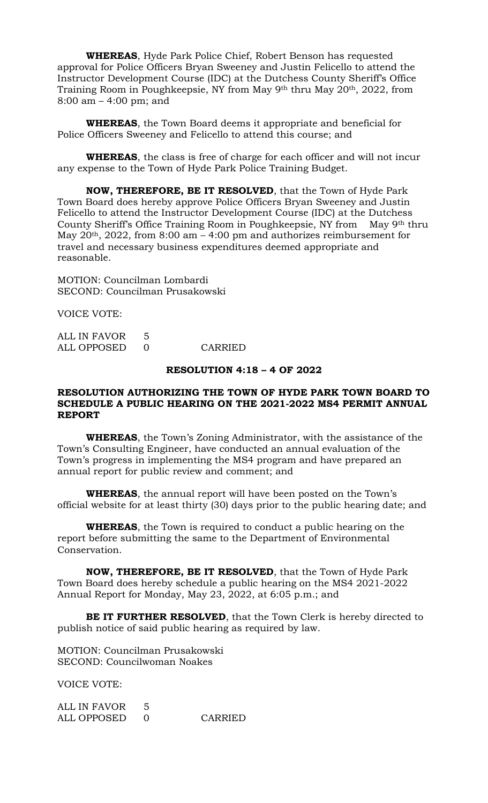**WHEREAS**, Hyde Park Police Chief, Robert Benson has requested approval for Police Officers Bryan Sweeney and Justin Felicello to attend the Instructor Development Course (IDC) at the Dutchess County Sheriff's Office Training Room in Poughkeepsie, NY from May 9th thru May 20th, 2022, from 8:00 am – 4:00 pm; and

**WHEREAS**, the Town Board deems it appropriate and beneficial for Police Officers Sweeney and Felicello to attend this course; and

**WHEREAS**, the class is free of charge for each officer and will not incur any expense to the Town of Hyde Park Police Training Budget.

**NOW, THEREFORE, BE IT RESOLVED**, that the Town of Hyde Park Town Board does hereby approve Police Officers Bryan Sweeney and Justin Felicello to attend the Instructor Development Course (IDC) at the Dutchess County Sheriff's Office Training Room in Poughkeepsie, NY from May 9th thru May  $20<sup>th</sup>$ ,  $2022$ , from  $8:00$  am  $-4:00$  pm and authorizes reimbursement for travel and necessary business expenditures deemed appropriate and reasonable.

MOTION: Councilman Lombardi SECOND: Councilman Prusakowski

VOICE VOTE:

| ALL IN FAVOR |         |
|--------------|---------|
| ALL OPPOSED  | CARRIED |

### **RESOLUTION 4:18 – 4 OF 2022**

## **RESOLUTION AUTHORIZING THE TOWN OF HYDE PARK TOWN BOARD TO SCHEDULE A PUBLIC HEARING ON THE 2021-2022 MS4 PERMIT ANNUAL REPORT**

**WHEREAS**, the Town's Zoning Administrator, with the assistance of the Town's Consulting Engineer, have conducted an annual evaluation of the Town's progress in implementing the MS4 program and have prepared an annual report for public review and comment; and

**WHEREAS**, the annual report will have been posted on the Town's official website for at least thirty (30) days prior to the public hearing date; and

**WHEREAS**, the Town is required to conduct a public hearing on the report before submitting the same to the Department of Environmental Conservation.

**NOW, THEREFORE, BE IT RESOLVED**, that the Town of Hyde Park Town Board does hereby schedule a public hearing on the MS4 2021-2022 Annual Report for Monday, May 23, 2022, at 6:05 p.m.; and

**BE IT FURTHER RESOLVED**, that the Town Clerk is hereby directed to publish notice of said public hearing as required by law.

MOTION: Councilman Prusakowski SECOND: Councilwoman Noakes

VOICE VOTE:

| ALL IN FAVOR |         |
|--------------|---------|
| ALL OPPOSED  | CARRIED |